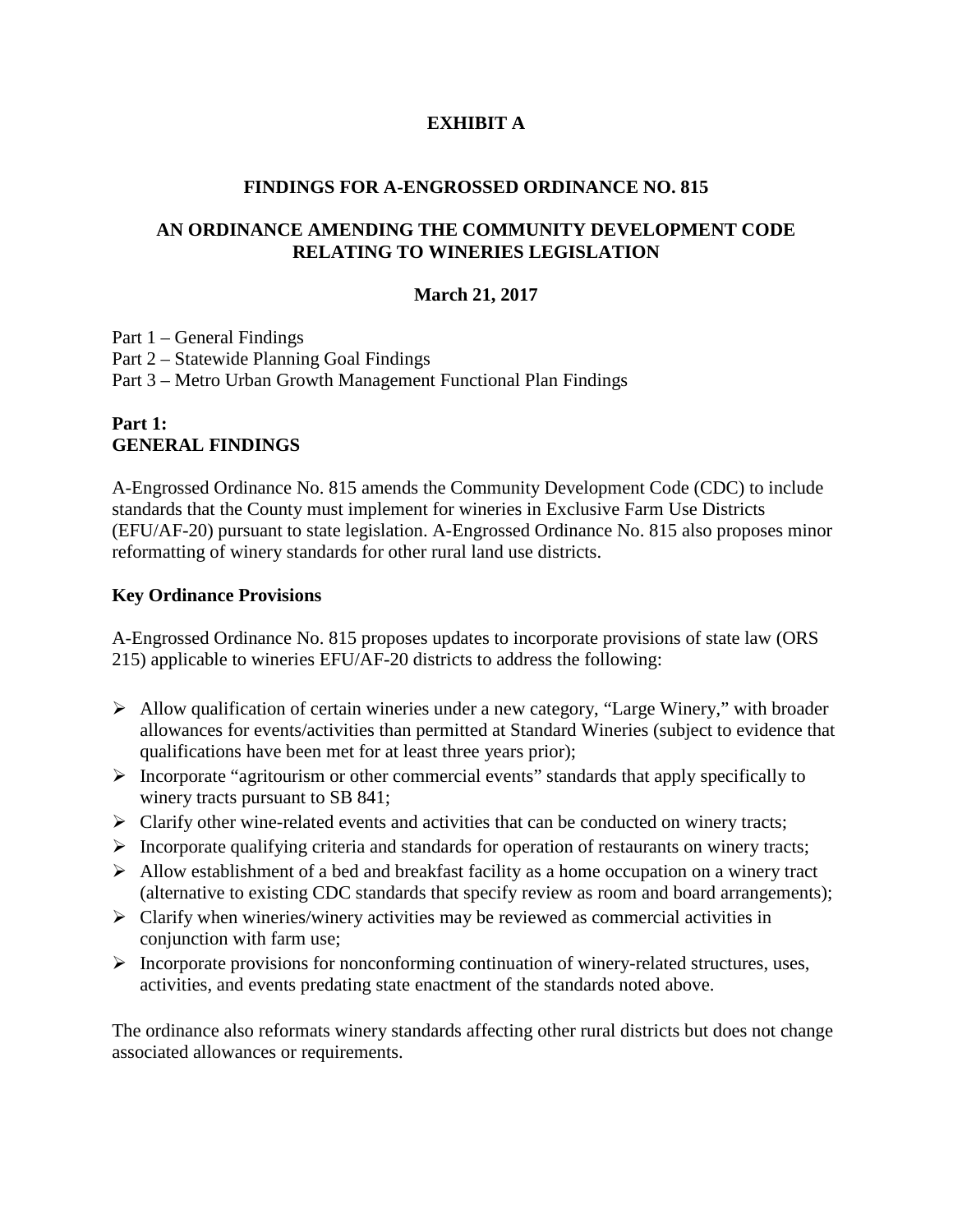### **EXHIBIT A**

#### **FINDINGS FOR A-ENGROSSED ORDINANCE NO. 815**

#### **AN ORDINANCE AMENDING THE COMMUNITY DEVELOPMENT CODE RELATING TO WINERIES LEGISLATION**

#### **March 21, 2017**

Part 1 – General Findings Part 2 – Statewide Planning Goal Findings Part 3 – Metro Urban Growth Management Functional Plan Findings

### **Part 1: GENERAL FINDINGS**

A-Engrossed Ordinance No. 815 amends the Community Development Code (CDC) to include standards that the County must implement for wineries in Exclusive Farm Use Districts (EFU/AF-20) pursuant to state legislation. A-Engrossed Ordinance No. 815 also proposes minor reformatting of winery standards for other rural land use districts.

#### **Key Ordinance Provisions**

A-Engrossed Ordinance No. 815 proposes updates to incorporate provisions of state law (ORS 215) applicable to wineries EFU/AF-20 districts to address the following:

- Allow qualification of certain wineries under a new category, "Large Winery," with broader allowances for events/activities than permitted at Standard Wineries (subject to evidence that qualifications have been met for at least three years prior);
- $\triangleright$  Incorporate "agritourism or other commercial events" standards that apply specifically to winery tracts pursuant to SB 841;
- $\triangleright$  Clarify other wine-related events and activities that can be conducted on winery tracts;
- $\triangleright$  Incorporate qualifying criteria and standards for operation of restaurants on winery tracts;
- $\triangleright$  Allow establishment of a bed and breakfast facility as a home occupation on a winery tract (alternative to existing CDC standards that specify review as room and board arrangements);
- $\triangleright$  Clarify when wineries/winery activities may be reviewed as commercial activities in conjunction with farm use;
- $\triangleright$  Incorporate provisions for nonconforming continuation of winery-related structures, uses, activities, and events predating state enactment of the standards noted above.

The ordinance also reformats winery standards affecting other rural districts but does not change associated allowances or requirements.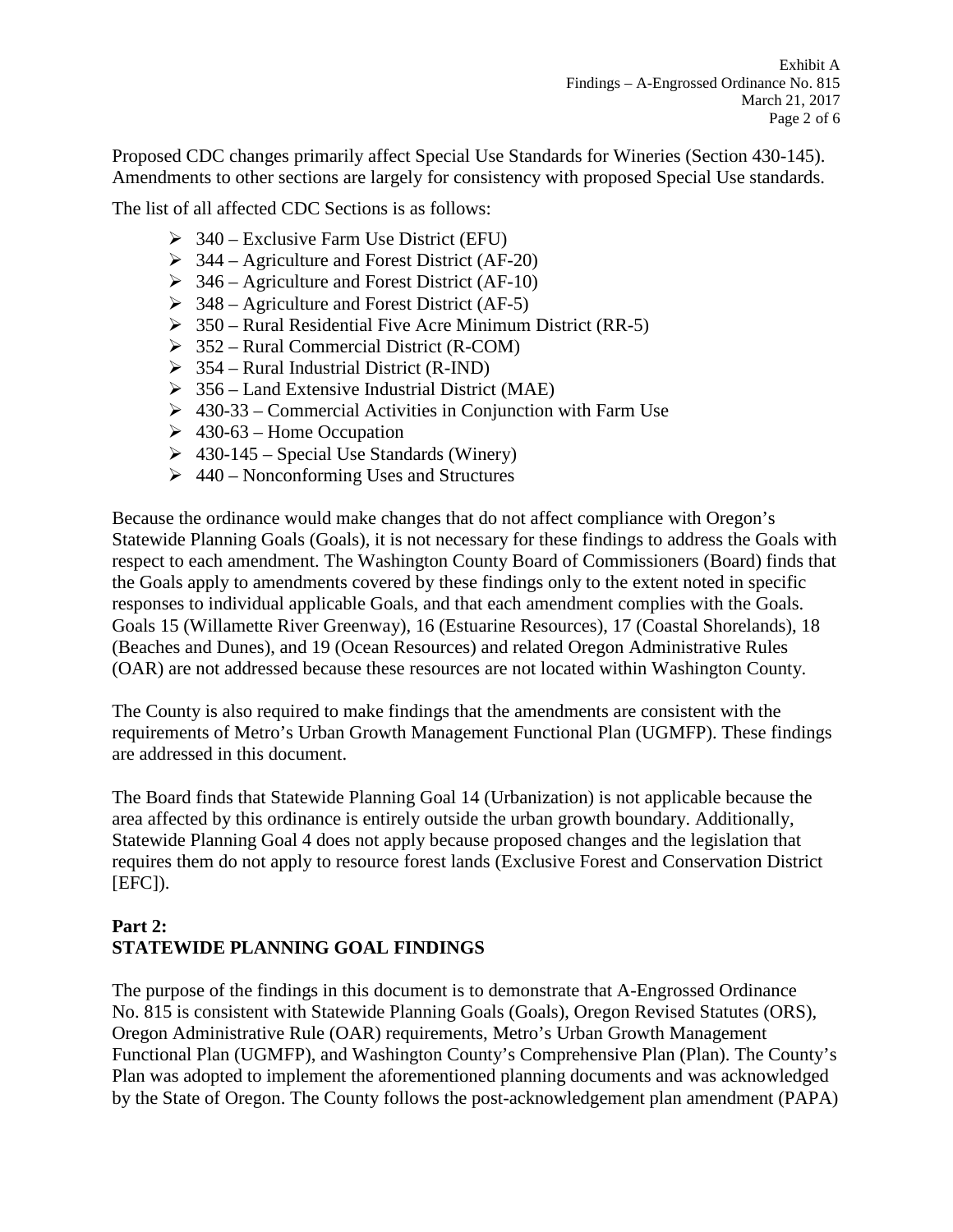Proposed CDC changes primarily affect Special Use Standards for Wineries (Section 430-145). Amendments to other sections are largely for consistency with proposed Special Use standards.

The list of all affected CDC Sections is as follows:

- $\geq$  340 Exclusive Farm Use District (EFU)
- $\geq$  344 Agriculture and Forest District (AF-20)
- $\geq$  346 Agriculture and Forest District (AF-10)
- $\geq$  348 Agriculture and Forest District (AF-5)
- $\geq$  350 Rural Residential Five Acre Minimum District (RR-5)
- $\geq$  352 Rural Commercial District (R-COM)
- $\geq$  354 Rural Industrial District (R-IND)
- $\geq$  356 Land Extensive Industrial District (MAE)
- $\geq 430-33$  Commercial Activities in Conjunction with Farm Use
- $\geq 430-63$  Home Occupation
- $\geq$  430-145 Special Use Standards (Winery)
- $\geq 440$  Nonconforming Uses and Structures

Because the ordinance would make changes that do not affect compliance with Oregon's Statewide Planning Goals (Goals), it is not necessary for these findings to address the Goals with respect to each amendment. The Washington County Board of Commissioners (Board) finds that the Goals apply to amendments covered by these findings only to the extent noted in specific responses to individual applicable Goals, and that each amendment complies with the Goals. Goals 15 (Willamette River Greenway), 16 (Estuarine Resources), 17 (Coastal Shorelands), 18 (Beaches and Dunes), and 19 (Ocean Resources) and related Oregon Administrative Rules (OAR) are not addressed because these resources are not located within Washington County.

The County is also required to make findings that the amendments are consistent with the requirements of Metro's Urban Growth Management Functional Plan (UGMFP). These findings are addressed in this document.

The Board finds that Statewide Planning Goal 14 (Urbanization) is not applicable because the area affected by this ordinance is entirely outside the urban growth boundary. Additionally, Statewide Planning Goal 4 does not apply because proposed changes and the legislation that requires them do not apply to resource forest lands (Exclusive Forest and Conservation District  $[EFC]$ ).

# **Part 2: STATEWIDE PLANNING GOAL FINDINGS**

The purpose of the findings in this document is to demonstrate that A-Engrossed Ordinance No. 815 is consistent with Statewide Planning Goals (Goals), Oregon Revised Statutes (ORS), Oregon Administrative Rule (OAR) requirements, Metro's Urban Growth Management Functional Plan (UGMFP), and Washington County's Comprehensive Plan (Plan). The County's Plan was adopted to implement the aforementioned planning documents and was acknowledged by the State of Oregon. The County follows the post-acknowledgement plan amendment (PAPA)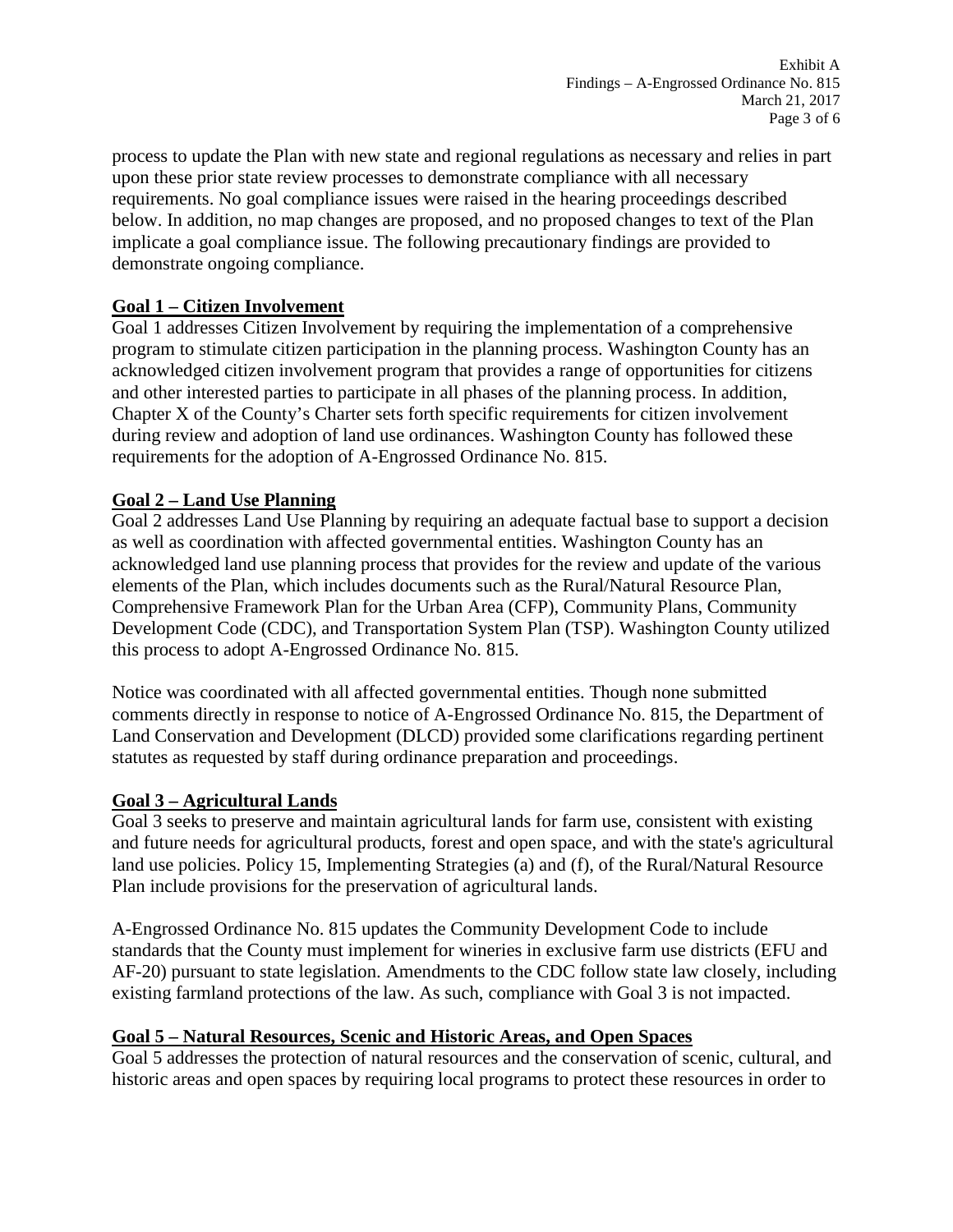process to update the Plan with new state and regional regulations as necessary and relies in part upon these prior state review processes to demonstrate compliance with all necessary requirements. No goal compliance issues were raised in the hearing proceedings described below. In addition, no map changes are proposed, and no proposed changes to text of the Plan implicate a goal compliance issue. The following precautionary findings are provided to demonstrate ongoing compliance.

## **Goal 1 – Citizen Involvement**

Goal 1 addresses Citizen Involvement by requiring the implementation of a comprehensive program to stimulate citizen participation in the planning process. Washington County has an acknowledged citizen involvement program that provides a range of opportunities for citizens and other interested parties to participate in all phases of the planning process. In addition, Chapter X of the County's Charter sets forth specific requirements for citizen involvement during review and adoption of land use ordinances. Washington County has followed these requirements for the adoption of A-Engrossed Ordinance No. 815.

## **Goal 2 – Land Use Planning**

Goal 2 addresses Land Use Planning by requiring an adequate factual base to support a decision as well as coordination with affected governmental entities. Washington County has an acknowledged land use planning process that provides for the review and update of the various elements of the Plan, which includes documents such as the Rural/Natural Resource Plan, Comprehensive Framework Plan for the Urban Area (CFP), Community Plans, Community Development Code (CDC), and Transportation System Plan (TSP). Washington County utilized this process to adopt A-Engrossed Ordinance No. 815.

Notice was coordinated with all affected governmental entities. Though none submitted comments directly in response to notice of A-Engrossed Ordinance No. 815, the Department of Land Conservation and Development (DLCD) provided some clarifications regarding pertinent statutes as requested by staff during ordinance preparation and proceedings.

### **Goal 3 – Agricultural Lands**

Goal 3 seeks to preserve and maintain agricultural lands for farm use, consistent with existing and future needs for agricultural products, forest and open space, and with the state's agricultural land use policies. Policy 15, Implementing Strategies (a) and (f), of the Rural/Natural Resource Plan include provisions for the preservation of agricultural lands.

A-Engrossed Ordinance No. 815 updates the Community Development Code to include standards that the County must implement for wineries in exclusive farm use districts (EFU and AF-20) pursuant to state legislation. Amendments to the CDC follow state law closely, including existing farmland protections of the law. As such, compliance with Goal 3 is not impacted.

### **Goal 5 – Natural Resources, Scenic and Historic Areas, and Open Spaces**

Goal 5 addresses the protection of natural resources and the conservation of scenic, cultural, and historic areas and open spaces by requiring local programs to protect these resources in order to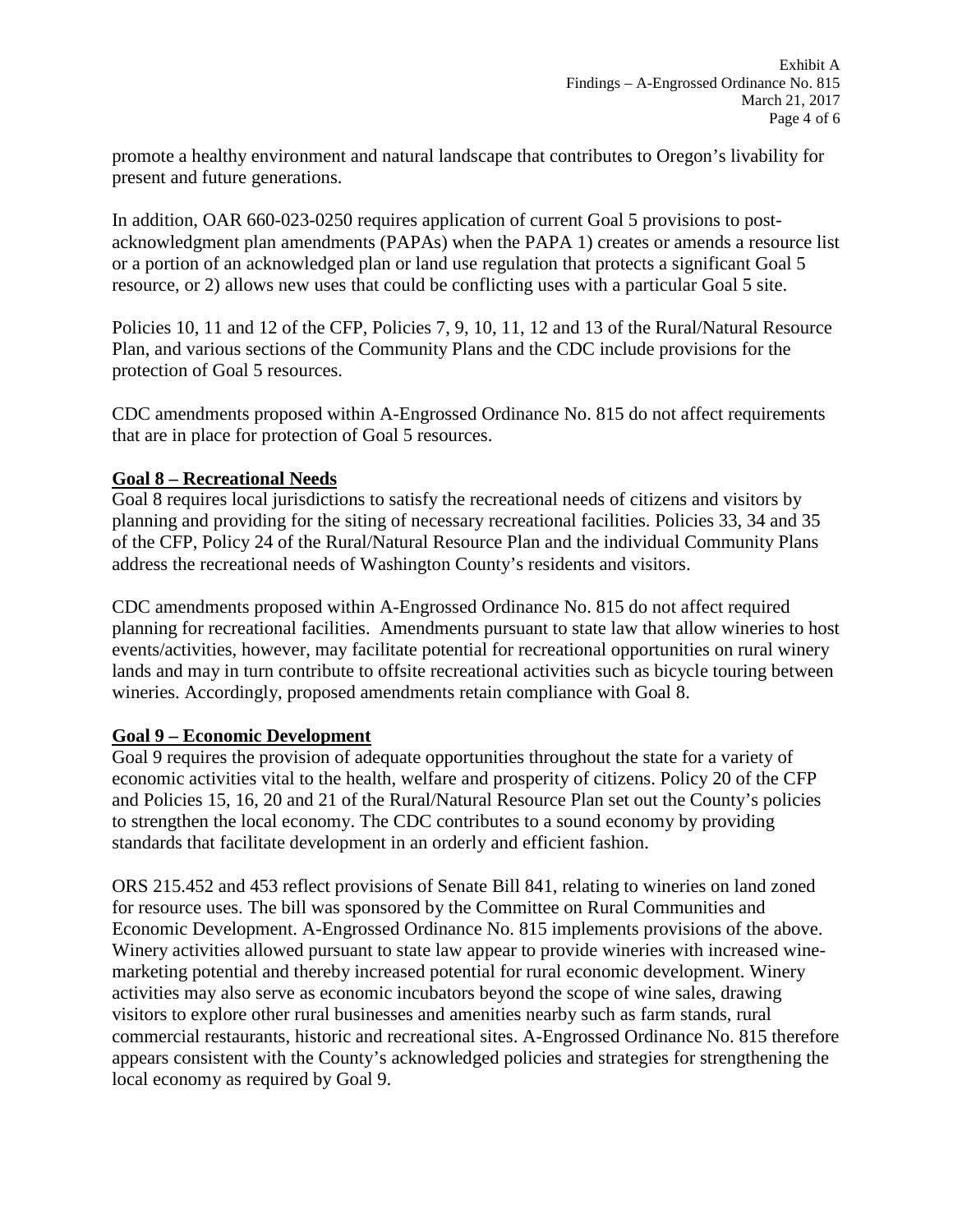promote a healthy environment and natural landscape that contributes to Oregon's livability for present and future generations.

In addition, OAR 660-023-0250 requires application of current Goal 5 provisions to postacknowledgment plan amendments (PAPAs) when the PAPA 1) creates or amends a resource list or a portion of an acknowledged plan or land use regulation that protects a significant Goal 5 resource, or 2) allows new uses that could be conflicting uses with a particular Goal 5 site.

Policies 10, 11 and 12 of the CFP, Policies 7, 9, 10, 11, 12 and 13 of the Rural/Natural Resource Plan, and various sections of the Community Plans and the CDC include provisions for the protection of Goal 5 resources.

CDC amendments proposed within A-Engrossed Ordinance No. 815 do not affect requirements that are in place for protection of Goal 5 resources.

### **Goal 8 – Recreational Needs**

Goal 8 requires local jurisdictions to satisfy the recreational needs of citizens and visitors by planning and providing for the siting of necessary recreational facilities. Policies 33, 34 and 35 of the CFP, Policy 24 of the Rural/Natural Resource Plan and the individual Community Plans address the recreational needs of Washington County's residents and visitors.

CDC amendments proposed within A-Engrossed Ordinance No. 815 do not affect required planning for recreational facilities. Amendments pursuant to state law that allow wineries to host events/activities, however, may facilitate potential for recreational opportunities on rural winery lands and may in turn contribute to offsite recreational activities such as bicycle touring between wineries. Accordingly, proposed amendments retain compliance with Goal 8.

### **Goal 9 – Economic Development**

Goal 9 requires the provision of adequate opportunities throughout the state for a variety of economic activities vital to the health, welfare and prosperity of citizens. Policy 20 of the CFP and Policies 15, 16, 20 and 21 of the Rural/Natural Resource Plan set out the County's policies to strengthen the local economy. The CDC contributes to a sound economy by providing standards that facilitate development in an orderly and efficient fashion.

ORS 215.452 and 453 reflect provisions of Senate Bill 841, relating to wineries on land zoned for resource uses. The bill was sponsored by the Committee on Rural Communities and Economic Development. A-Engrossed Ordinance No. 815 implements provisions of the above. Winery activities allowed pursuant to state law appear to provide wineries with increased winemarketing potential and thereby increased potential for rural economic development. Winery activities may also serve as economic incubators beyond the scope of wine sales, drawing visitors to explore other rural businesses and amenities nearby such as farm stands, rural commercial restaurants, historic and recreational sites. A-Engrossed Ordinance No. 815 therefore appears consistent with the County's acknowledged policies and strategies for strengthening the local economy as required by Goal 9.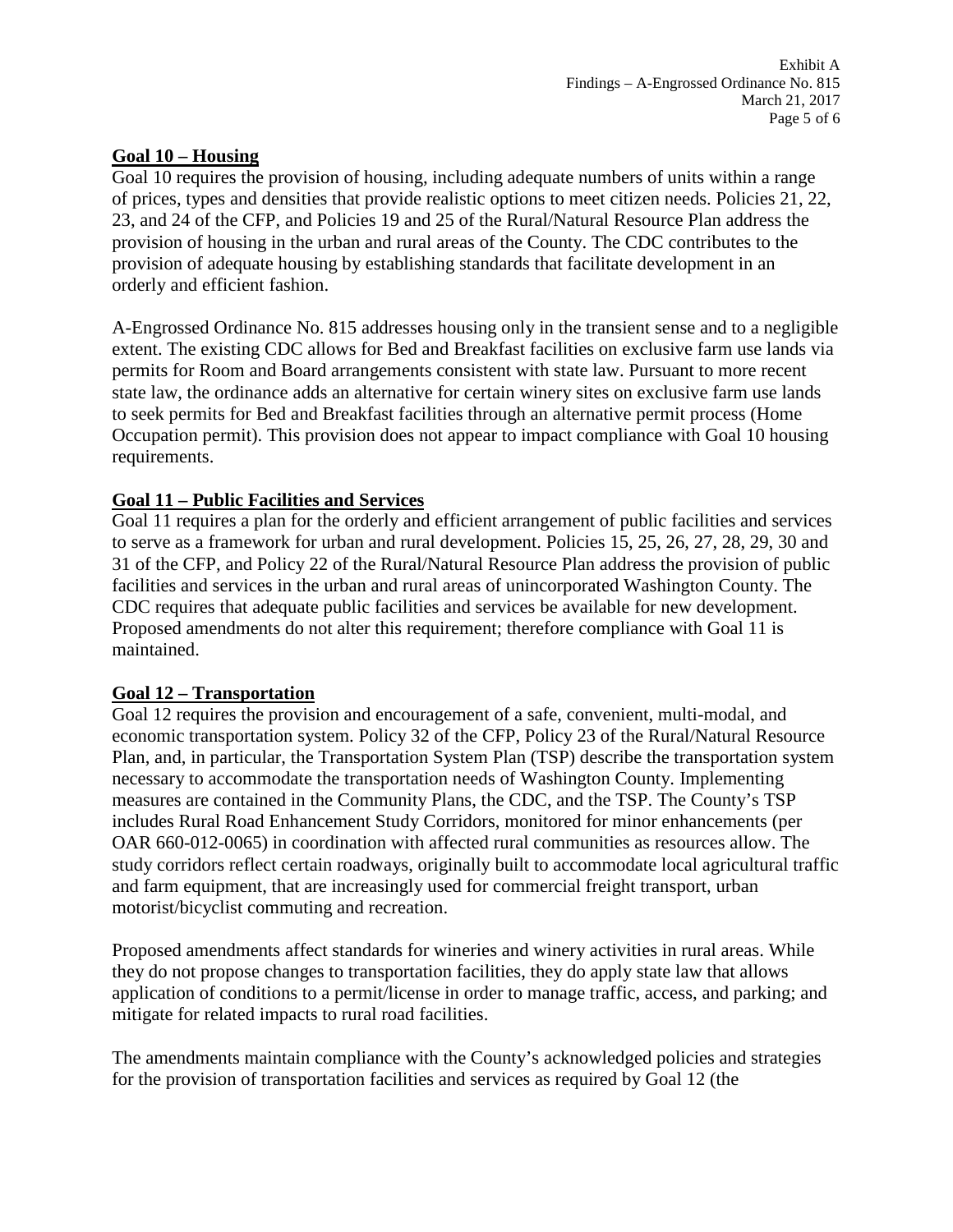#### **Goal 10 – Housing**

Goal 10 requires the provision of housing, including adequate numbers of units within a range of prices, types and densities that provide realistic options to meet citizen needs. Policies 21, 22, 23, and 24 of the CFP, and Policies 19 and 25 of the Rural/Natural Resource Plan address the provision of housing in the urban and rural areas of the County. The CDC contributes to the provision of adequate housing by establishing standards that facilitate development in an orderly and efficient fashion.

A-Engrossed Ordinance No. 815 addresses housing only in the transient sense and to a negligible extent. The existing CDC allows for Bed and Breakfast facilities on exclusive farm use lands via permits for Room and Board arrangements consistent with state law. Pursuant to more recent state law, the ordinance adds an alternative for certain winery sites on exclusive farm use lands to seek permits for Bed and Breakfast facilities through an alternative permit process (Home Occupation permit). This provision does not appear to impact compliance with Goal 10 housing requirements.

### **Goal 11 – Public Facilities and Services**

Goal 11 requires a plan for the orderly and efficient arrangement of public facilities and services to serve as a framework for urban and rural development. Policies 15, 25, 26, 27, 28, 29, 30 and 31 of the CFP, and Policy 22 of the Rural/Natural Resource Plan address the provision of public facilities and services in the urban and rural areas of unincorporated Washington County. The CDC requires that adequate public facilities and services be available for new development. Proposed amendments do not alter this requirement; therefore compliance with Goal 11 is maintained.

#### **Goal 12 – Transportation**

Goal 12 requires the provision and encouragement of a safe, convenient, multi-modal, and economic transportation system. Policy 32 of the CFP, Policy 23 of the Rural/Natural Resource Plan, and, in particular, the Transportation System Plan (TSP) describe the transportation system necessary to accommodate the transportation needs of Washington County. Implementing measures are contained in the Community Plans, the CDC, and the TSP. The County's TSP includes Rural Road Enhancement Study Corridors, monitored for minor enhancements (per OAR 660-012-0065) in coordination with affected rural communities as resources allow. The study corridors reflect certain roadways, originally built to accommodate local agricultural traffic and farm equipment, that are increasingly used for commercial freight transport, urban motorist/bicyclist commuting and recreation.

Proposed amendments affect standards for wineries and winery activities in rural areas. While they do not propose changes to transportation facilities, they do apply state law that allows application of conditions to a permit/license in order to manage traffic, access, and parking; and mitigate for related impacts to rural road facilities.

The amendments maintain compliance with the County's acknowledged policies and strategies for the provision of transportation facilities and services as required by Goal 12 (the